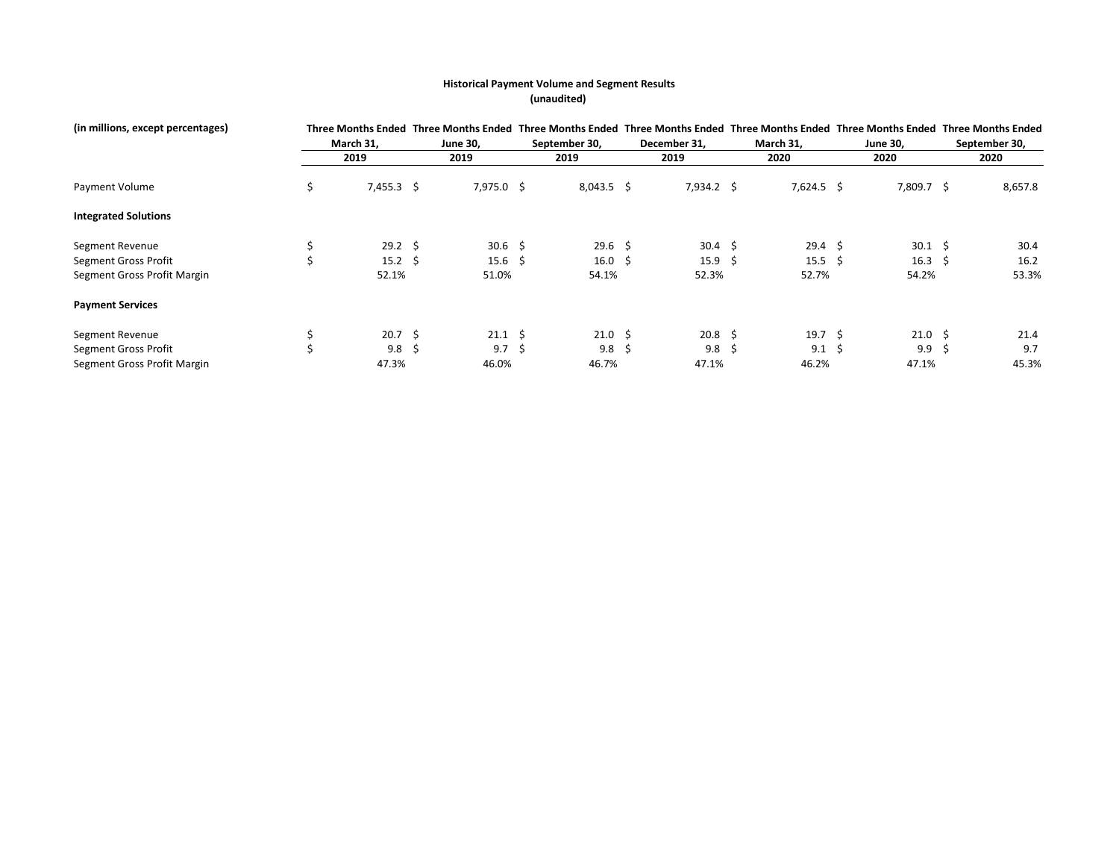## **Historical Payment Volume and Segment Results (unaudited)**

| (in millions, except percentages) |    | Three Months Ended |     | <b>Three Months Ended</b> |  | <b>Three Months Ended</b> |  | <b>Three Months Ended</b> |   |                   |  | Three Months Ended Three Months Ended Three Months Ended |    |               |  |  |
|-----------------------------------|----|--------------------|-----|---------------------------|--|---------------------------|--|---------------------------|---|-------------------|--|----------------------------------------------------------|----|---------------|--|--|
|                                   |    | March 31,          |     | <b>June 30.</b>           |  | September 30,             |  | December 31,              |   | March 31,         |  | <b>June 30,</b>                                          |    | September 30, |  |  |
|                                   |    | 2019               |     | 2019                      |  | 2019                      |  | 2019                      |   | 2020              |  | 2020                                                     |    | 2020          |  |  |
| Payment Volume                    | \$ | $7,455.3$ \$       |     | $7,975.0$ \$              |  | $8,043.5$ \$              |  | $7,934.2$ \$              |   | $7,624.5$ \$      |  | 7,809.7 \$                                               |    | 8,657.8       |  |  |
| <b>Integrated Solutions</b>       |    |                    |     |                           |  |                           |  |                           |   |                   |  |                                                          |    |               |  |  |
| Segment Revenue                   |    | $29.2 \div$        |     | $30.6 \quad $$            |  | $29.6 \quad $$            |  | $30.4 \quad $5$           |   | $29.4 \quad $$    |  | 30.1                                                     | -S | 30.4          |  |  |
| Segment Gross Profit              | \$ | $15.2 \div$        |     | $15.6 \quad $$            |  | 16.0 \$                   |  | $15.9 \quad $$            |   | $15.5\frac{2}{3}$ |  | $16.3 \quad $$                                           |    | 16.2          |  |  |
| Segment Gross Profit Margin       |    | 52.1%              |     | 51.0%                     |  | 54.1%                     |  | 52.3%                     |   | 52.7%             |  | 54.2%                                                    |    | 53.3%         |  |  |
| <b>Payment Services</b>           |    |                    |     |                           |  |                           |  |                           |   |                   |  |                                                          |    |               |  |  |
| Segment Revenue                   |    | $20.7 \; \S$       |     | $21.1 \pm 5$              |  | $21.0 \pm$                |  | $20.8 \; \; \zeta$        |   | 19.7 \$           |  | $21.0 \pm$                                               |    | 21.4          |  |  |
| Segment Gross Profit              | Ś  | 9.8                | - S | $9.7 \;$ \$               |  | $9.8 \;$ \$               |  | 9.8                       | 5 | $9.1 \; \text{S}$ |  | 9.9                                                      | -S | 9.7           |  |  |
| Segment Gross Profit Margin       |    | 47.3%              |     | 46.0%                     |  | 46.7%                     |  | 47.1%                     |   | 46.2%             |  | 47.1%                                                    |    | 45.3%         |  |  |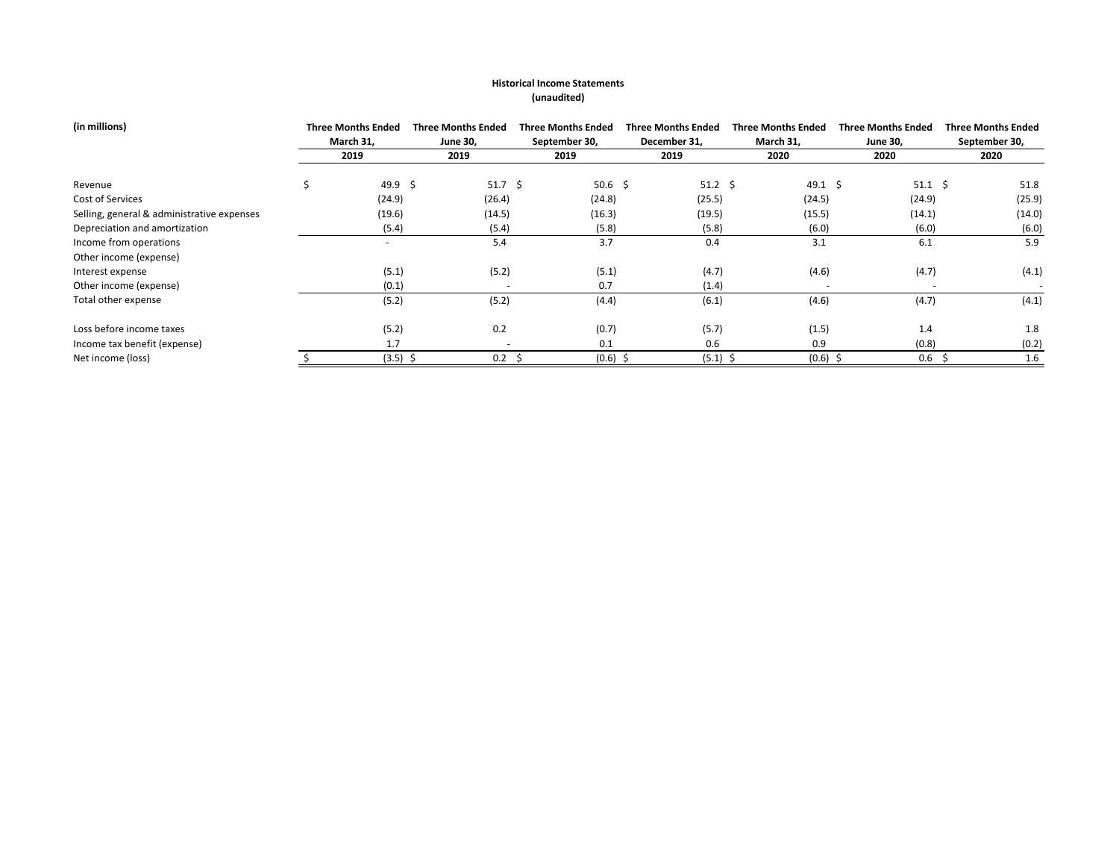## **Historical Income Statements (unaudited)**

| (in millions)                              | <b>Three Months Ended</b> | <b>Three Months Ended</b> |                          | <b>Three Months Ended</b> | <b>Three Months Ended</b> |             | <b>Three Months Ended</b> | <b>Three Months Ended</b> | <b>Three Months Ended</b> |
|--------------------------------------------|---------------------------|---------------------------|--------------------------|---------------------------|---------------------------|-------------|---------------------------|---------------------------|---------------------------|
|                                            | March 31,                 | <b>June 30,</b>           |                          | September 30,             | December 31,              |             | March 31,                 | <b>June 30,</b>           | September 30,             |
|                                            | 2019                      | 2019                      |                          | 2019                      | 2019                      |             | 2020                      | 2020                      | 2020                      |
| Revenue                                    | 49.9 \$                   |                           | $51.7 \; \text{S}$       | 50.6 \$                   |                           | $51.2 \div$ | 49.1 \$                   | $51.1 \; \text{S}$        | 51.8                      |
| Cost of Services                           | (24.9)                    |                           | (26.4)                   | (24.8)                    | (25.5)                    |             | (24.5)                    | (24.9)                    | (25.9)                    |
| Selling, general & administrative expenses | (19.6)                    |                           | (14.5)                   | (16.3)                    | (19.5)                    |             | (15.5)                    | (14.1)                    | (14.0)                    |
| Depreciation and amortization              | (5.4)                     |                           | (5.4)                    | (5.8)                     | (5.8)                     |             | (6.0)                     | (6.0)                     | (6.0)                     |
| Income from operations                     | $\overline{a}$            |                           | 5.4                      | 3.7                       | 0.4                       |             | 3.1                       | 6.1                       | 5.9                       |
| Other income (expense)                     |                           |                           |                          |                           |                           |             |                           |                           |                           |
| Interest expense                           | (5.1)                     |                           | (5.2)                    | (5.1)                     | (4.7)                     |             | (4.6)                     | (4.7)                     | (4.1)                     |
| Other income (expense)                     | (0.1)                     |                           |                          | 0.7                       | (1.4)                     |             |                           |                           |                           |
| Total other expense                        | (5.2)                     |                           | (5.2)                    | (4.4)                     | (6.1)                     |             | (4.6)                     | (4.7)                     | (4.1)                     |
| Loss before income taxes                   | (5.2)                     |                           | 0.2                      | (0.7)                     | (5.7)                     |             | (1.5)                     | 1.4                       | 1.8                       |
| Income tax benefit (expense)               | 1.7                       |                           | $\overline{\phantom{a}}$ | 0.1                       | 0.6                       |             | 0.9                       | (0.8)                     | (0.2)                     |
| Net income (loss)                          | $(3.5)$ \$                |                           | $0.2 \quad$ \$           | (0.6)                     |                           | $(5.1)$ \$  | $(0.6)$ \$                | 0.6                       | 1.6                       |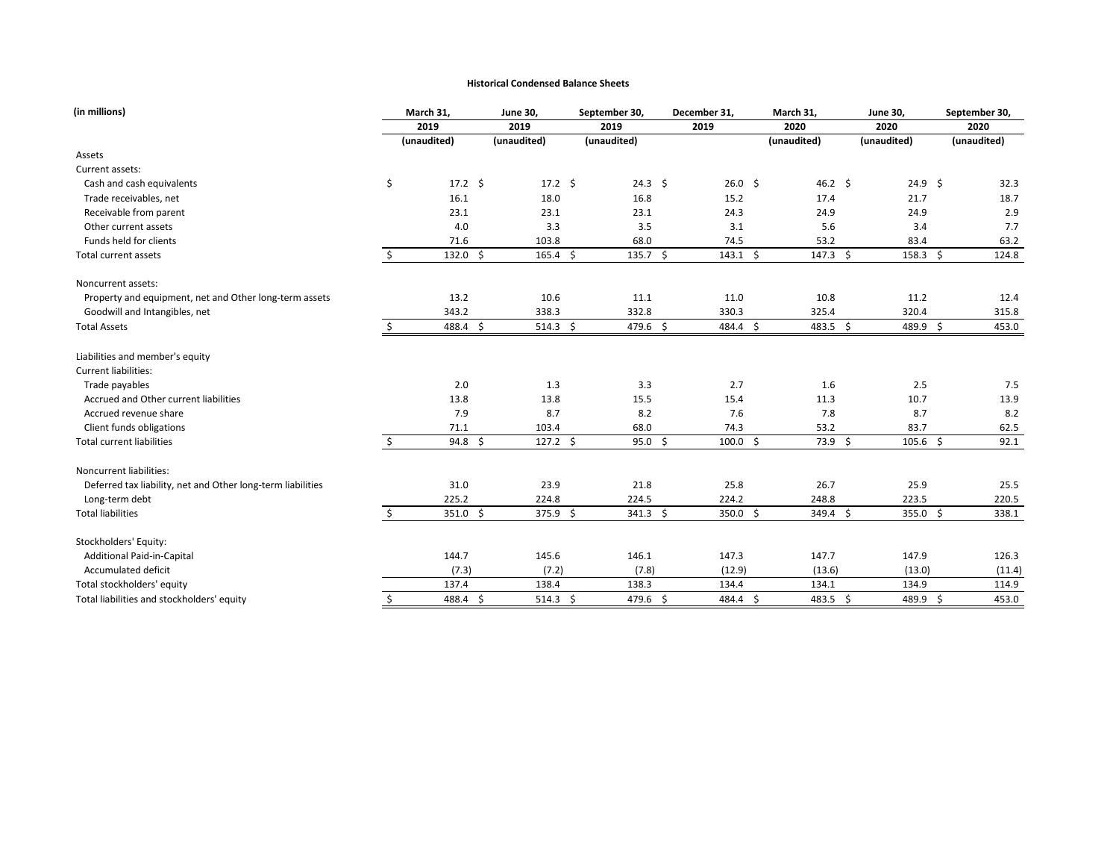#### **Historical Condensed Balance Sheets**

| (in millions)                                               |         | March 31,          | <b>June 30,</b> | September 30,       |             |                        | December 31, |                        | March 31, |                 | <b>June 30,</b> | September 30,     |             |        |
|-------------------------------------------------------------|---------|--------------------|-----------------|---------------------|-------------|------------------------|--------------|------------------------|-----------|-----------------|-----------------|-------------------|-------------|--------|
|                                                             |         | 2019               |                 | 2019                | 2019        |                        |              | 2019                   |           | 2020            |                 | 2020              |             | 2020   |
|                                                             |         | (unaudited)        |                 | (unaudited)         | (unaudited) |                        |              |                        |           | (unaudited)     |                 | (unaudited)       | (unaudited) |        |
| Assets                                                      |         |                    |                 |                     |             |                        |              |                        |           |                 |                 |                   |             |        |
| Current assets:                                             |         |                    |                 |                     |             |                        |              |                        |           |                 |                 |                   |             |        |
| Cash and cash equivalents                                   | \$      | $17.2 \div$        |                 | $17.2 \div$         |             | $24.3 \; \text{S}$     |              | 26.0%                  |           | 46.2 \$         |                 | $24.9 \; \simeq$  |             | 32.3   |
| Trade receivables, net                                      |         | 16.1               |                 | 18.0                |             | 16.8                   |              | 15.2                   |           | 17.4            |                 | 21.7              |             | 18.7   |
| Receivable from parent                                      |         | 23.1               |                 | 23.1                |             | 23.1                   |              | 24.3                   |           | 24.9            |                 | 24.9              |             | 2.9    |
| Other current assets                                        |         | 4.0                |                 | 3.3                 |             | 3.5                    |              | 3.1                    |           | 5.6             |                 | 3.4               |             | 7.7    |
| Funds held for clients                                      |         | 71.6               |                 | 103.8               |             | 68.0                   |              | 74.5                   |           | 53.2            |                 | 83.4              |             | 63.2   |
| <b>Total current assets</b>                                 | $\zeta$ | $132.0$ \$         |                 | $165.4 \; \simeq$   |             | 135.7 \$               |              | $143.1 \; \simeq$      |           | $147.3$ \$      |                 | $158.3 \; \simeq$ |             | 124.8  |
| Noncurrent assets:                                          |         |                    |                 |                     |             |                        |              |                        |           |                 |                 |                   |             |        |
| Property and equipment, net and Other long-term assets      |         | 13.2               |                 | 10.6                |             | 11.1                   |              | 11.0                   |           | 10.8            |                 | 11.2              |             | 12.4   |
| Goodwill and Intangibles, net                               |         | 343.2              |                 | 338.3               |             | 332.8                  |              | 330.3                  |           | 325.4           |                 | 320.4             |             | 315.8  |
| <b>Total Assets</b>                                         |         | 488.4 \$           |                 | 514.3 \$            |             | 479.6 \$               |              | 484.4 \$               |           | $483.5$ \$      |                 | 489.9 \$          |             | 453.0  |
| Liabilities and member's equity                             |         |                    |                 |                     |             |                        |              |                        |           |                 |                 |                   |             |        |
| Current liabilities:                                        |         |                    |                 |                     |             |                        |              |                        |           |                 |                 |                   |             |        |
| Trade payables                                              |         | 2.0                |                 | 1.3                 |             | 3.3                    |              | 2.7                    |           | 1.6             |                 | 2.5               |             | 7.5    |
| Accrued and Other current liabilities                       |         | 13.8               |                 | 13.8                |             | 15.5                   |              | 15.4                   |           | 11.3            |                 | 10.7              |             | 13.9   |
| Accrued revenue share                                       |         | 7.9                |                 | 8.7                 |             | 8.2                    |              | 7.6                    |           | 7.8             |                 | 8.7               |             | 8.2    |
| Client funds obligations                                    |         | 71.1               |                 | 103.4               |             | 68.0                   |              | 74.3                   |           | 53.2            |                 | 83.7              |             | 62.5   |
| <b>Total current liabilities</b>                            | \$      | $94.8 \; \; \zeta$ |                 | $127.2 \div$        |             | $95.0 \; \S$           |              | $100.0 \; \; \text{S}$ |           | $73.9 \;$ \$    |                 | $105.6 \; \simeq$ |             | 92.1   |
| Noncurrent liabilities:                                     |         |                    |                 |                     |             |                        |              |                        |           |                 |                 |                   |             |        |
| Deferred tax liability, net and Other long-term liabilities |         | 31.0               |                 | 23.9                |             | 21.8                   |              | 25.8                   |           | 26.7            |                 | 25.9              |             | 25.5   |
| Long-term debt                                              |         | 225.2              |                 | 224.8               |             | 224.5                  |              | 224.2                  |           | 248.8           |                 | 223.5             |             | 220.5  |
| <b>Total liabilities</b>                                    | Ŝ.      | $351.0$ \$         |                 | 375.9 \$            |             | $341.3 \; \; \; \;$ \$ |              | 350.0 \$               |           | $349.4 \quad $$ |                 | 355.0 \$          |             | 338.1  |
| Stockholders' Equity:                                       |         |                    |                 |                     |             |                        |              |                        |           |                 |                 |                   |             |        |
| <b>Additional Paid-in-Capital</b>                           |         | 144.7              |                 | 145.6               |             | 146.1                  |              | 147.3                  |           | 147.7           |                 | 147.9             |             | 126.3  |
| Accumulated deficit                                         |         | (7.3)              |                 | (7.2)               |             | (7.8)                  |              | (12.9)                 |           | (13.6)          |                 | (13.0)            |             | (11.4) |
| Total stockholders' equity                                  |         | 137.4              |                 | 138.4               |             | 138.3                  |              | 134.4                  |           | 134.1           |                 | 134.9             |             | 114.9  |
| Total liabilities and stockholders' equity                  | \$      | 488.4 \$           |                 | $514.3 \; \text{S}$ |             | 479.6 \$               |              | 484.4 \$               |           | $483.5$ \$      |                 | 489.9 \$          |             | 453.0  |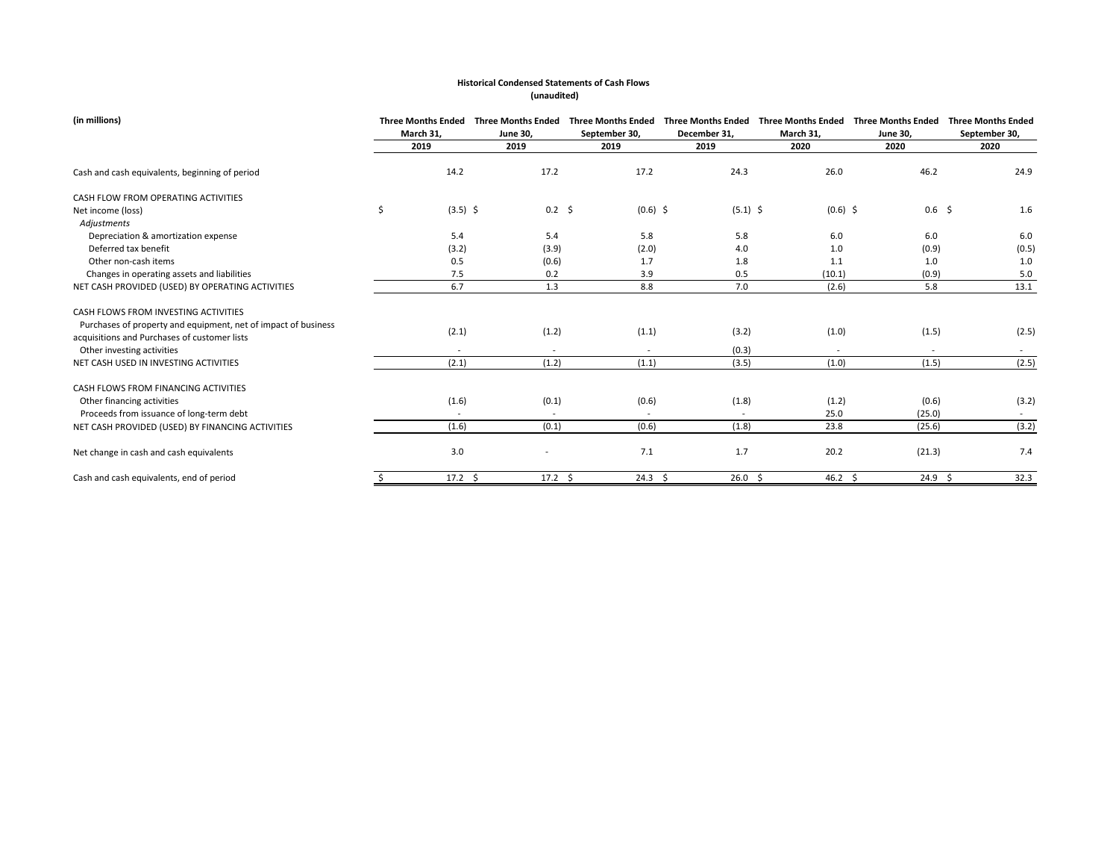| (in millions)                                                                                                  | <b>Three Months Ended</b><br>March 31, | <b>Three Months Ended</b><br><b>June 30,</b> | <b>Three Months Ended</b><br>September 30, | December 31,      | Three Months Ended Three Months Ended<br>March 31, | <b>Three Months Ended</b><br><b>June 30,</b> | <b>Three Months Ended</b><br>September 30, |
|----------------------------------------------------------------------------------------------------------------|----------------------------------------|----------------------------------------------|--------------------------------------------|-------------------|----------------------------------------------------|----------------------------------------------|--------------------------------------------|
|                                                                                                                | 2019                                   | 2019                                         | 2019                                       | 2019              | 2020                                               | 2020                                         | 2020                                       |
| Cash and cash equivalents, beginning of period                                                                 | 14.2                                   | 17.2                                         | 17.2                                       | 24.3              | 26.0                                               | 46.2                                         | 24.9                                       |
| CASH FLOW FROM OPERATING ACTIVITIES                                                                            |                                        |                                              |                                            |                   |                                                    |                                              |                                            |
| Net income (loss)                                                                                              | \$<br>$(3.5)$ \$                       | $0.2 \quad $$                                | $(0.6)$ \$                                 | $(5.1)$ \$        | $(0.6)$ \$                                         | $0.6$ \$                                     | 1.6                                        |
| Adjustments                                                                                                    |                                        |                                              |                                            |                   |                                                    |                                              |                                            |
| Depreciation & amortization expense                                                                            | 5.4                                    | 5.4                                          | 5.8                                        | 5.8               | 6.0                                                | 6.0                                          | 6.0                                        |
| Deferred tax benefit                                                                                           | (3.2)                                  | (3.9)                                        | (2.0)                                      | 4.0               | 1.0                                                | (0.9)                                        | (0.5)                                      |
| Other non-cash items                                                                                           | 0.5                                    | (0.6)                                        | 1.7                                        | 1.8               | 1.1                                                | 1.0                                          | $1.0$                                      |
| Changes in operating assets and liabilities                                                                    | 7.5                                    | 0.2                                          | 3.9                                        | 0.5               | (10.1)                                             | (0.9)                                        | $5.0\,$                                    |
| NET CASH PROVIDED (USED) BY OPERATING ACTIVITIES                                                               | 6.7                                    | 1.3                                          | 8.8                                        | 7.0               | (2.6)                                              | 5.8                                          | 13.1                                       |
| CASH FLOWS FROM INVESTING ACTIVITIES                                                                           |                                        |                                              |                                            |                   |                                                    |                                              |                                            |
| Purchases of property and equipment, net of impact of business<br>acquisitions and Purchases of customer lists | (2.1)                                  | (1.2)                                        | (1.1)                                      | (3.2)             | (1.0)                                              | (1.5)                                        | (2.5)                                      |
| Other investing activities                                                                                     |                                        |                                              |                                            | (0.3)             |                                                    |                                              |                                            |
| NET CASH USED IN INVESTING ACTIVITIES                                                                          | (2.1)                                  | (1.2)                                        | (1.1)                                      | (3.5)             | (1.0)                                              | (1.5)                                        | (2.5)                                      |
| CASH FLOWS FROM FINANCING ACTIVITIES                                                                           |                                        |                                              |                                            |                   |                                                    |                                              |                                            |
| Other financing activities                                                                                     | (1.6)                                  | (0.1)                                        | (0.6)                                      | (1.8)             | (1.2)                                              | (0.6)                                        | (3.2)                                      |
| Proceeds from issuance of long-term debt                                                                       |                                        |                                              |                                            |                   | 25.0                                               | (25.0)                                       |                                            |
| NET CASH PROVIDED (USED) BY FINANCING ACTIVITIES                                                               | (1.6)                                  | (0.1)                                        | (0.6)                                      | (1.8)             | 23.8                                               | (25.6)                                       | (3.2)                                      |
| Net change in cash and cash equivalents                                                                        | 3.0                                    |                                              | 7.1                                        | 1.7               | 20.2                                               | (21.3)                                       | 7.4                                        |
| Cash and cash equivalents, end of period                                                                       | $17.2 \div$                            | $17.2 \quad $$                               | $24.3 \; \text{S}$                         | $26.0\frac{1}{5}$ | $46.2 \quad $$                                     | $24.9 \div$                                  | 32.3                                       |

# **Historical Condensed Statements of Cash Flows (unaudited)**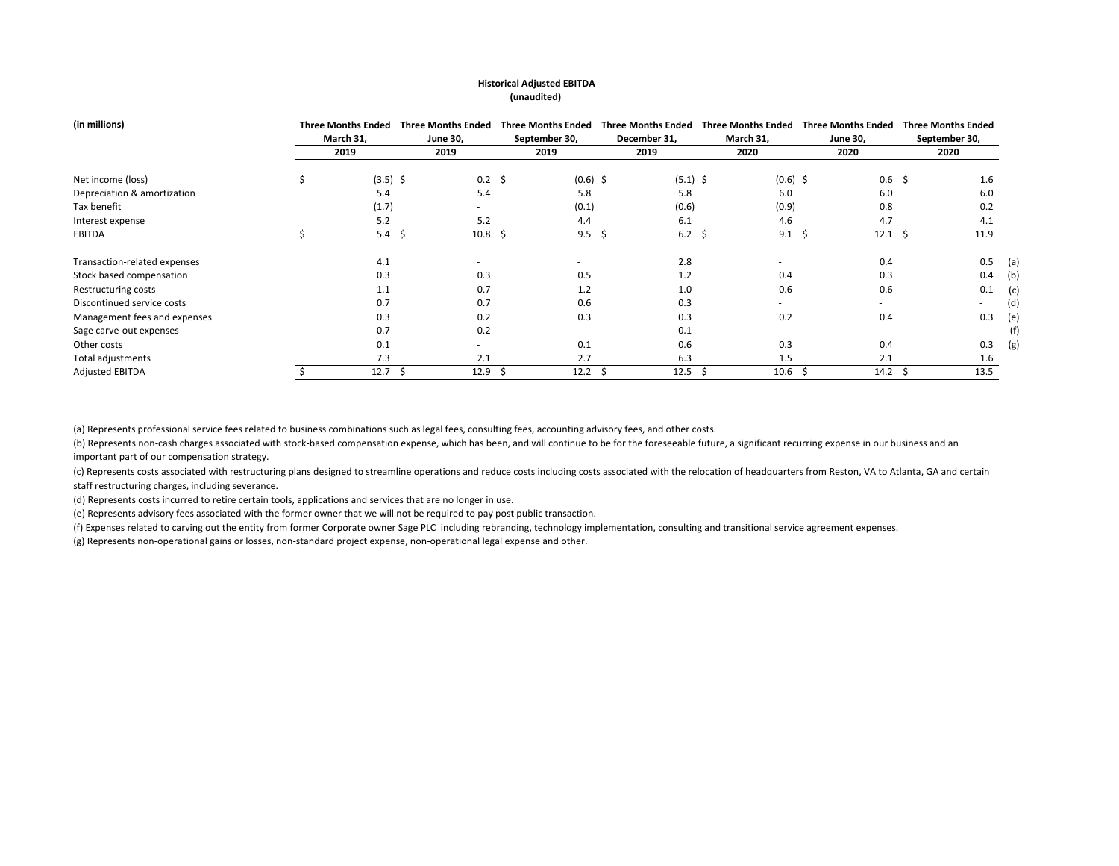### **Historical Adjusted EBITDA (unaudited)**

| (in millions)                | <b>Three Months Ended</b> | <b>Three Months Ended</b> |   | <b>Three Months Ended</b> |  | <b>Three Months Ended</b> | <b>Three Months Ended</b> | <b>Three Months Ended</b> |          | <b>Three Months Ended</b> |     |
|------------------------------|---------------------------|---------------------------|---|---------------------------|--|---------------------------|---------------------------|---------------------------|----------|---------------------------|-----|
|                              | March 31,                 | <b>June 30,</b>           |   | September 30,             |  | December 31,              | March 31,                 | <b>June 30,</b>           |          | September 30,             |     |
|                              | 2019                      | 2019                      |   | 2019                      |  | 2019                      | 2020                      | 2020                      |          | 2020                      |     |
| Net income (loss)            | $(3.5)$ \$                | $0.2 \quad $$             |   | $(0.6)$ \$                |  | $(5.1)$ \$                | $(0.6)$ \$                |                           | $0.6$ \$ | 1.6                       |     |
| Depreciation & amortization  | 5.4                       | 5.4                       |   | 5.8                       |  | 5.8                       | 6.0                       | 6.0                       |          | 6.0                       |     |
| Tax benefit                  | (1.7)                     | $\overline{\phantom{0}}$  |   | (0.1)                     |  | (0.6)                     | (0.9)                     | 0.8                       |          | 0.2                       |     |
| Interest expense             | 5.2                       | 5.2                       |   | 4.4                       |  | 6.1                       | 4.6                       | 4.7                       |          | 4.1                       |     |
| EBITDA                       | 5.4                       | -\$<br>10.8               | Ŝ | $9.5 \; \; \zeta$         |  | $6.2 \div$                | 9.1                       | $12.1 \; \text{S}$<br>- S |          | 11.9                      |     |
| Transaction-related expenses | 4.1                       | -                         |   | $\overline{\phantom{a}}$  |  | 2.8                       |                           | 0.4                       |          | 0.5                       | (a) |
| Stock based compensation     | 0.3                       | 0.3                       |   | 0.5                       |  | 1.2                       | 0.4                       | 0.3                       |          | 0.4                       | (b) |
| Restructuring costs          | 1.1                       | 0.7                       |   | 1.2                       |  | 1.0                       | 0.6                       | 0.6                       |          | 0.1                       | (c) |
| Discontinued service costs   | 0.7                       | 0.7                       |   | 0.6                       |  | 0.3                       | $\overline{\phantom{0}}$  | $\sim$                    |          |                           | (d) |
| Management fees and expenses | 0.3                       | 0.2                       |   | 0.3                       |  | 0.3                       | 0.2                       | 0.4                       |          | 0.3                       | (e) |
| Sage carve-out expenses      | 0.7                       | 0.2                       |   | $\overline{\phantom{a}}$  |  | 0.1                       | $\overline{\phantom{0}}$  | $\sim$                    |          | $\overline{\phantom{a}}$  | (f) |
| Other costs                  | 0.1                       | $\overline{\phantom{a}}$  |   | 0.1                       |  | 0.6                       | 0.3                       | 0.4                       |          | 0.3                       | (g) |
| Total adjustments            | 7.3                       | 2.1                       |   | 2.7                       |  | 6.3                       | 1.5                       | 2.1                       |          | 1.6                       |     |
| <b>Adjusted EBITDA</b>       | 12.7                      | 12.9                      |   | 12.2                      |  | 12.5                      | 10.6                      | 14.2                      |          | 13.5                      |     |

(a) Represents professional service fees related to business combinations such as legal fees, consulting fees, accounting advisory fees, and other costs.

(b) Represents non-cash charges associated with stock-based compensation expense, which has been, and will continue to be for the foreseeable future, a significant recurring expense in our business and an important part of our compensation strategy.

(c) Represents costs associated with restructuring plans designed to streamline operations and reduce costs including costs associated with the relocation of headquarters from Reston, VA to Atlanta, GA and certain staff restructuring charges, including severance.

(d) Represents costs incurred to retire certain tools, applications and services that are no longer in use.

(e) Represents advisory fees associated with the former owner that we will not be required to pay post public transaction.

(f) Expenses related to carving out the entity from former Corporate owner Sage PLC including rebranding, technology implementation, consulting and transitional service agreement expenses.

(g) Represents non-operational gains or losses, non-standard project expense, non-operational legal expense and other.